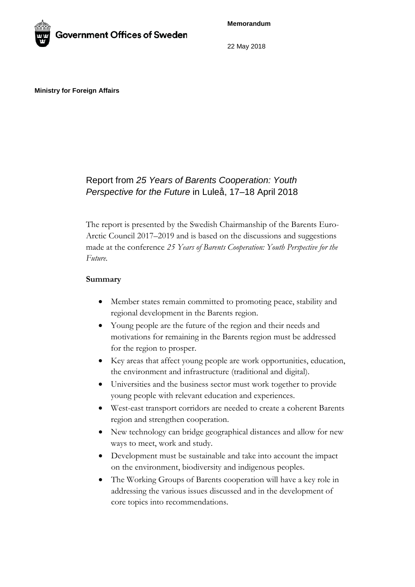**Memorandum**



22 May 2018

**Ministry for Foreign Affairs**

# Report from *25 Years of Barents Cooperation: Youth Perspective for the Future* in Luleå, 17–18 April 2018

The report is presented by the Swedish Chairmanship of the Barents Euro-Arctic Council 2017–2019 and is based on the discussions and suggestions made at the conference *25 Years of Barents Cooperation: Youth Perspective for the Future*.

# **Summary**

- Member states remain committed to promoting peace, stability and regional development in the Barents region.
- Young people are the future of the region and their needs and motivations for remaining in the Barents region must be addressed for the region to prosper.
- Key areas that affect young people are work opportunities, education, the environment and infrastructure (traditional and digital).
- Universities and the business sector must work together to provide young people with relevant education and experiences.
- West-east transport corridors are needed to create a coherent Barents region and strengthen cooperation.
- New technology can bridge geographical distances and allow for new ways to meet, work and study.
- Development must be sustainable and take into account the impact on the environment, biodiversity and indigenous peoples.
- The Working Groups of Barents cooperation will have a key role in addressing the various issues discussed and in the development of core topics into recommendations.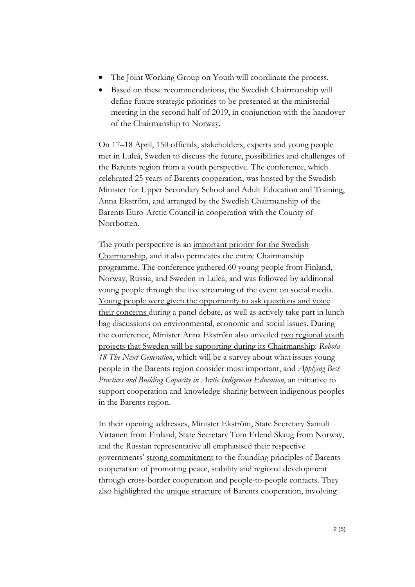- The Joint Working Group on Youth will coordinate the process.
- Based on these recommendations, the Swedish Chairmanship will define future strategic priorities to be presented at the ministerial meeting in the second half of 2019, in conjunction with the handover of the Chairmanship to Norway.

On 17–18 April, 150 officials, stakeholders, experts and young people met in Luleå, Sweden to discuss the future, possibilities and challenges of the Barents region from a youth perspective. The conference, which celebrated 25 years of Barents cooperation, was hosted by the Swedish Minister for Upper Secondary School and Adult Education and Training, Anna Ekström, and arranged by the Swedish Chairmanship of the Barents Euro-Arctic Council in cooperation with the County of Norrbotten.

The youth perspective is an important priority for the Swedish Chairmanship, and it also permeates the entire Chairmanship programme. The conference gathered 60 young people from Finland, Norway, Russia, and Sweden in Luleå, and was followed by additional young people through the live streaming of the event on social media. Young people were given the opportunity to ask questions and voice their concerns during a panel debate, as well as actively take part in lunch bag discussions on environmental, economic and social issues. During the conference, Minister Anna Ekström also unveiled two regional youth projects that Sweden will be supporting during its Chairmanship: *Robota 18 The Next Generation*, which will be a survey about what issues young people in the Barents region consider most important, and *Applying Best Practices and Building Capacity in Arctic Indigenous Education*, an initiative to support cooperation and knowledge-sharing between indigenous peoples in the Barents region.

In their opening addresses, Minister Ekström, State Secretary Samuli Virtanen from Finland, State Secretary Tom Erlend Skaug from Norway, and the Russian representative all emphasised their respective governments' strong commitment to the founding principles of Barents cooperation of promoting peace, stability and regional development through cross-border cooperation and people-to-people contacts. They also highlighted the unique structure of Barents cooperation, involving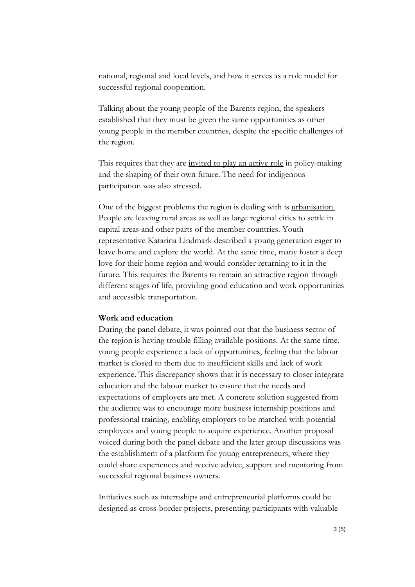national, regional and local levels, and how it serves as a role model for successful regional cooperation.

Talking about the young people of the Barents region, the speakers established that they must be given the same opportunities as other young people in the member countries, despite the specific challenges of the region.

This requires that they are invited to play an active role in policy-making and the shaping of their own future. The need for indigenous participation was also stressed.

One of the biggest problems the region is dealing with is urbanisation. People are leaving rural areas as well as large regional cities to settle in capital areas and other parts of the member countries. Youth representative Katarina Lindmark described a young generation eager to leave home and explore the world. At the same time, many foster a deep love for their home region and would consider returning to it in the future. This requires the Barents to remain an attractive region through different stages of life, providing good education and work opportunities and accessible transportation.

# **Work and education**

During the panel debate, it was pointed out that the business sector of the region is having trouble filling available positions. At the same time, young people experience a lack of opportunities, feeling that the labour market is closed to them due to insufficient skills and lack of work experience. This discrepancy shows that it is necessary to closer integrate education and the labour market to ensure that the needs and expectations of employers are met. A concrete solution suggested from the audience was to encourage more business internship positions and professional training, enabling employers to be matched with potential employees and young people to acquire experience. Another proposal voiced during both the panel debate and the later group discussions was the establishment of a platform for young entrepreneurs, where they could share experiences and receive advice, support and mentoring from successful regional business owners.

Initiatives such as internships and entrepreneurial platforms could be designed as cross-border projects, presenting participants with valuable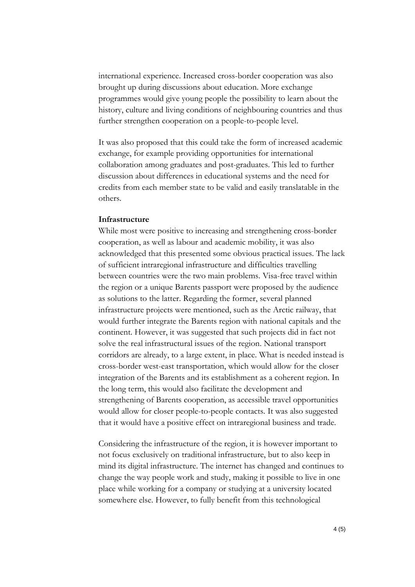international experience. Increased cross-border cooperation was also brought up during discussions about education. More exchange programmes would give young people the possibility to learn about the history, culture and living conditions of neighbouring countries and thus further strengthen cooperation on a people-to-people level.

It was also proposed that this could take the form of increased academic exchange, for example providing opportunities for international collaboration among graduates and post-graduates. This led to further discussion about differences in educational systems and the need for credits from each member state to be valid and easily translatable in the others.

## **Infrastructure**

While most were positive to increasing and strengthening cross-border cooperation, as well as labour and academic mobility, it was also acknowledged that this presented some obvious practical issues. The lack of sufficient intraregional infrastructure and difficulties travelling between countries were the two main problems. Visa-free travel within the region or a unique Barents passport were proposed by the audience as solutions to the latter. Regarding the former, several planned infrastructure projects were mentioned, such as the Arctic railway, that would further integrate the Barents region with national capitals and the continent. However, it was suggested that such projects did in fact not solve the real infrastructural issues of the region. National transport corridors are already, to a large extent, in place. What is needed instead is cross-border west-east transportation, which would allow for the closer integration of the Barents and its establishment as a coherent region. In the long term, this would also facilitate the development and strengthening of Barents cooperation, as accessible travel opportunities would allow for closer people-to-people contacts. It was also suggested that it would have a positive effect on intraregional business and trade.

Considering the infrastructure of the region, it is however important to not focus exclusively on traditional infrastructure, but to also keep in mind its digital infrastructure. The internet has changed and continues to change the way people work and study, making it possible to live in one place while working for a company or studying at a university located somewhere else. However, to fully benefit from this technological